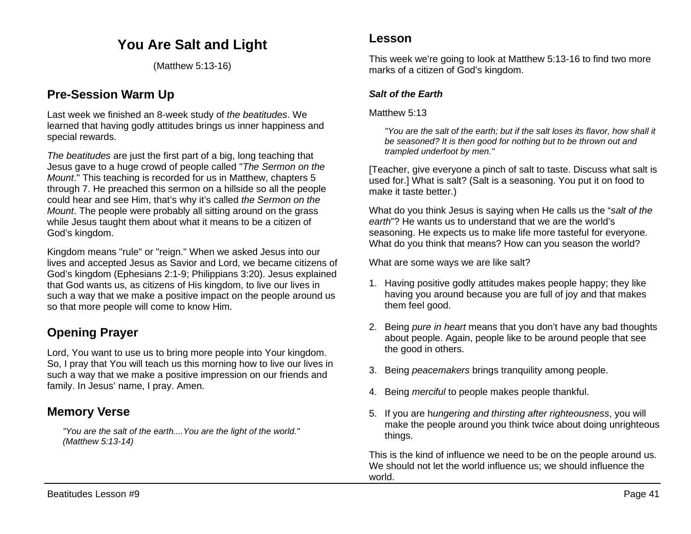# **You Are Salt and Light**

(Matthew 5:13-16)

### **Pre-Session Warm Up**

Last week we finished an 8-week study of *the beatitudes*. We learned that having godly attitudes brings us inner happiness and special rewards.

*The beatitudes* are just the first part of a big, long teaching that Jesus gave to a huge crowd of people called "*The Sermon on the Mount*." This teaching is recorded for us in Matthew, chapters 5 through 7. He preached this sermon on a hillside so all the people could hear and see Him, that's why it's called *the Sermon on the Mount*. The people were probably all sitting around on the grass while Jesus taught them about what it means to be a citizen of God's kingdom.

Kingdom means "rule" or "reign." When we asked Jesus into our lives and accepted Jesus as Savior and Lord, we became citizens of God's kingdom (Ephesians 2:1-9; Philippians 3:20). Jesus explained that God wants us, as citizens of His kingdom, to live our lives in such a way that we make a positive impact on the people around us so that more people will come to know Him.

# **Opening Prayer**

Lord, You want to use us to bring more people into Your kingdom. So, I pray that You will teach us this morning how to live our lives in such a way that we make a positive impression on our friends and family. In Jesus' name, I pray. Amen.

## **Memory Verse**

*"You are the salt of the earth....You are the light of the world." (Matthew 5:13-14)*

This week we're going to look at Matthew 5:13-16 to find two more marks of a citizen of God's kingdom.

### *Salt of the Earth*

Matthew 5:13

*"You are the salt of the earth; but if the salt loses its flavor, how shall it be seasoned? It is then good for nothing but to be thrown out and trampled underfoot by men."* 

[Teacher, give everyone a pinch of salt to taste. Discuss what salt is used for.] What is salt? (Salt is a seasoning. You put it on food to make it taste better.)

What do you think Jesus is saying when He calls us the "*salt of the earth*"? He wants us to understand that we are the world's seasoning. He expects us to make life more tasteful for everyone. What do you think that means? How can you season the world?

What are some ways we are like salt?

- 1. Having positive godly attitudes makes people happy; they like having you around because you are full of joy and that makes them feel good.
- 2. Being *pure in heart* means that you don't have any bad thoughts about people. Again, people like to be around people that see the good in others.
- 3. Being *peacemakers* brings tranquility among people.
- 4. Being *merciful* to people makes people thankful.
- 5. If you are h*ungering and thirsting after righteousness*, you will make the people around you think twice about doing unrighteous things.

This is the kind of influence we need to be on the people around us. We should not let the world influence us; we should influence the world.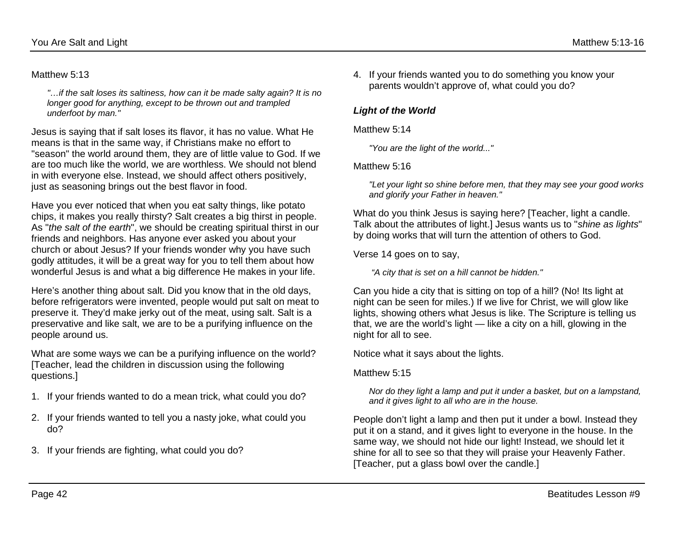### Matthew 5:13

*"…if the salt loses its saltiness, how can it be made salty again? It is no longer good for anything, except to be thrown out and trampled underfoot by man."*

Jesus is saying that if salt loses its flavor, it has no value. What He means is that in the same way, if Christians make no effort to "season" the world around them, they are of little value to God. If we are too much like the world, we are worthless. We should not blend in with everyone else. Instead, we should affect others positively, just as seasoning brings out the best flavor in food.

Have you ever noticed that when you eat salty things, like potato chips, it makes you really thirsty? Salt creates a big thirst in people. As "*the salt of the earth*", we should be creating spiritual thirst in our friends and neighbors. Has anyone ever asked you about your church or about Jesus? If your friends wonder why you have such godly attitudes, it will be a great way for you to tell them about how wonderful Jesus is and what a big difference He makes in your life.

Here's another thing about salt. Did you know that in the old days, before refrigerators were invented, people would put salt on meat to preserve it. They'd make jerky out of the meat, using salt. Salt is a preservative and like salt, we are to be a purifying influence on the people around us.

What are some ways we can be a purifying influence on the world? [Teacher, lead the children in discussion using the following questions.]

- 1. If your friends wanted to do a mean trick, what could you do?
- 2. If your friends wanted to tell you a nasty joke, what could you do?
- 3. If your friends are fighting, what could you do?

4. If your friends wanted you to do something you know your parents wouldn't approve of, what could you do?

#### *Light of the World*

#### Matthew 5:14

*"You are the light of the world..."* 

#### Matthew 5:16

*"Let your light so shine before men, that they may see your good works and glorify your Father in heaven."* 

What do you think Jesus is saying here? [Teacher, light a candle. Talk about the attributes of light.] Jesus wants us to "*shine as lights*" by doing works that will turn the attention of others to God.

Verse 14 goes on to say,

*"A city that is set on a hill cannot be hidden."* 

Can you hide a city that is sitting on top of a hill? (No! Its light at night can be seen for miles.) If we live for Christ, we will glow like lights, showing others what Jesus is like. The Scripture is telling us that, we are the world's light — like a city on a hill, glowing in the night for all to see.

Notice what it says about the lights.

#### Matthew 5:15

*Nor do they light a lamp and put it under a basket, but on a lampstand, and it gives light to all who are in the house.*

People don't light a lamp and then put it under a bowl. Instead they put it on a stand, and it gives light to everyone in the house. In the same way, we should not hide our light! Instead, we should let it shine for all to see so that they will praise your Heavenly Father. [Teacher, put a glass bowl over the candle.]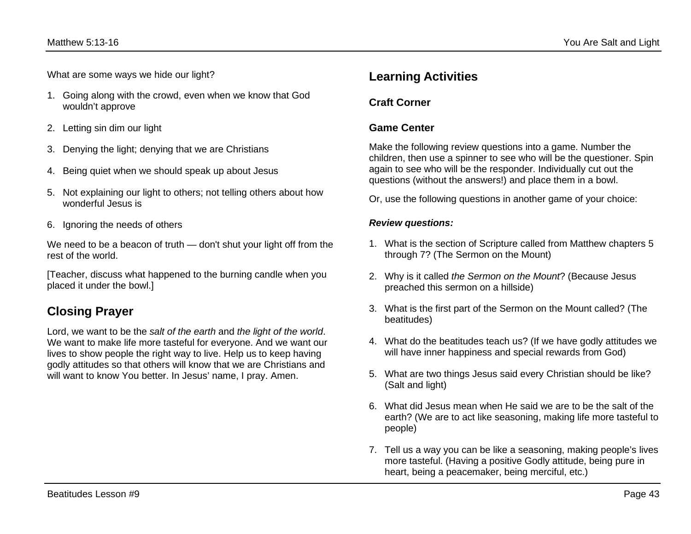What are some ways we hide our light?

- 1. Going along with the crowd, even when we know that God wouldn't approve
- 2. Letting sin dim our light
- 3. Denying the light; denying that we are Christians
- 4. Being quiet when we should speak up about Jesus
- 5. Not explaining our light to others; not telling others about how wonderful Jesus is
- 6. Ignoring the needs of others

We need to be a beacon of truth — don't shut your light off from the rest of the world.

[Teacher, discuss what happened to the burning candle when you placed it under the bowl.]

# **Closing Prayer**

Lord, we want to be the *salt of the earth* and *the light of the world*. We want to make life more tasteful for everyone. And we want our lives to show people the right way to live. Help us to keep having godly attitudes so that others will know that we are Christians and will want to know You better. In Jesus' name, I pray. Amen.

## **Learning Activities**

### **Craft Corner**

### **Game Center**

Make the following review questions into a game. Number the children, then use a spinner to see who will be the questioner. Spin again to see who will be the responder. Individually cut out the questions (without the answers!) and place them in a bowl.

Or, use the following questions in another game of your choice:

### *Review questions:*

- 1. What is the section of Scripture called from Matthew chapters 5 through 7? (The Sermon on the Mount)
- 2. Why is it called *the Sermon on the Mount*? (Because Jesus preached this sermon on a hillside)
- 3. What is the first part of the Sermon on the Mount called? (The beatitudes)
- 4. What do the beatitudes teach us? (If we have godly attitudes we will have inner happiness and special rewards from God)
- 5. What are two things Jesus said every Christian should be like? (Salt and light)
- 6. What did Jesus mean when He said we are to be the salt of the earth? (We are to act like seasoning, making life more tasteful to people)
- 7. Tell us a way you can be like a seasoning, making people's lives more tasteful. (Having a positive Godly attitude, being pure in heart, being a peacemaker, being merciful, etc.)